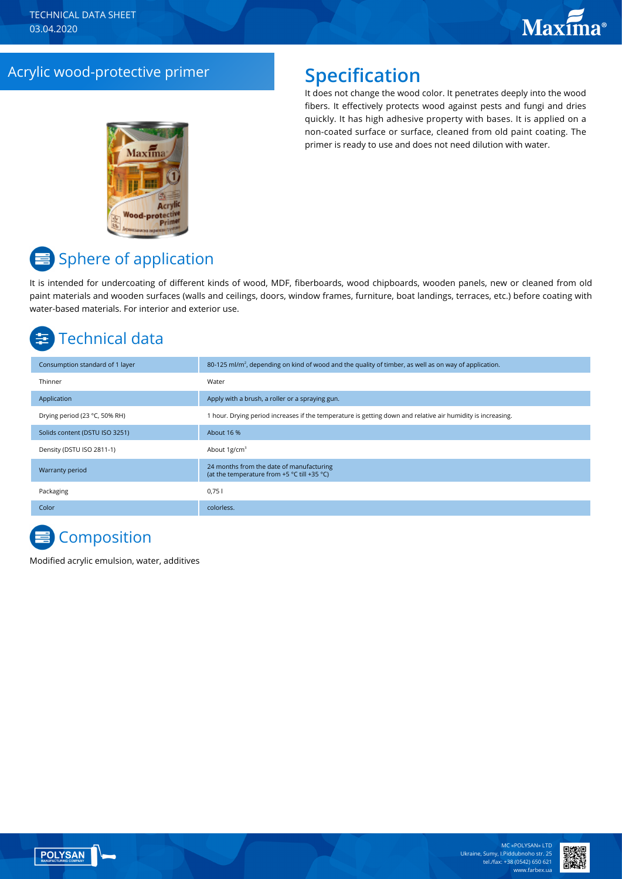## Acrylic wood-protective primer **Specification**

It does not change the wood color. It penetrates deeply into the wood fibers. It effectively protects wood against pests and fungi and dries quickly. It has high adhesive property with bases. It is applied on a non-coated surface or surface, cleaned from old paint coating. The primer is ready to use and does not need dilution with water.



# **■ Sphere of application**

It is intended for undercoating of different kinds of wood, MDF, fiberboards, wood chipboards, wooden panels, new or cleaned from old paint materials and wooden surfaces (walls and ceilings, doors, window frames, furniture, boat landings, terraces, etc.) before coating with water-based materials. For interior and exterior use.

# Technical data

| Consumption standard of 1 layer | 80-125 ml/m <sup>2</sup> , depending on kind of wood and the quality of timber, as well as on way of application. |
|---------------------------------|-------------------------------------------------------------------------------------------------------------------|
| Thinner                         | Water                                                                                                             |
| Application                     | Apply with a brush, a roller or a spraying gun.                                                                   |
| Drying period (23 °C, 50% RH)   | 1 hour. Drying period increases if the temperature is getting down and relative air humidity is increasing.       |
| Solids content (DSTU ISO 3251)  | About 16 %                                                                                                        |
| Density (DSTU ISO 2811-1)       | About $1g/cm^3$                                                                                                   |
| Warranty period                 | 24 months from the date of manufacturing<br>(at the temperature from +5 °C till +35 °C)                           |
| Packaging                       | 0,751                                                                                                             |
| Color                           | colorless.                                                                                                        |

# **Composition**

Modified acrylic emulsion, water, additives